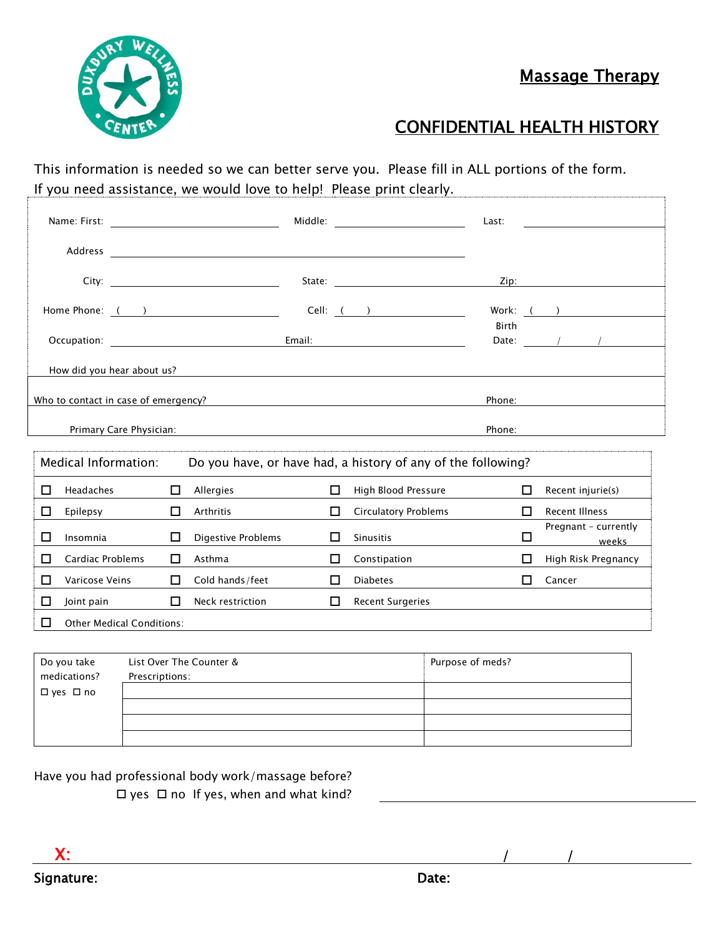Massage Therapy



# CONFIDENTIAL HEALTH HISTORY

This information is needed so we can better serve you. Please fill in ALL portions of the form. If you need assistance, we would love to help! Please print clearly.

|   |                                                                                                                   |    |                    |    |                                                                                                                                                                                                                                | Last:        |                                                                                                                                                                                                                                                                                                                                                                                                                          |  |
|---|-------------------------------------------------------------------------------------------------------------------|----|--------------------|----|--------------------------------------------------------------------------------------------------------------------------------------------------------------------------------------------------------------------------------|--------------|--------------------------------------------------------------------------------------------------------------------------------------------------------------------------------------------------------------------------------------------------------------------------------------------------------------------------------------------------------------------------------------------------------------------------|--|
|   |                                                                                                                   |    |                    |    |                                                                                                                                                                                                                                |              |                                                                                                                                                                                                                                                                                                                                                                                                                          |  |
|   |                                                                                                                   |    |                    |    |                                                                                                                                                                                                                                |              |                                                                                                                                                                                                                                                                                                                                                                                                                          |  |
|   |                                                                                                                   |    |                    |    |                                                                                                                                                                                                                                |              | Zip: the contract of the contract of the contract of the contract of the contract of the contract of the contract of the contract of the contract of the contract of the contract of the contract of the contract of the contr                                                                                                                                                                                           |  |
|   | Home Phone: ( )                                                                                                   |    |                    |    | Cell: ( )                                                                                                                                                                                                                      |              | Work: <u>( )</u>                                                                                                                                                                                                                                                                                                                                                                                                         |  |
|   |                                                                                                                   |    |                    |    |                                                                                                                                                                                                                                | <b>Birth</b> |                                                                                                                                                                                                                                                                                                                                                                                                                          |  |
|   | Occupation: New York Products and Security Assembly Products and Security Assembly Products and Security Assembly |    |                    |    | Email: Email: Email: Email: Email: Email: Email: Email: Email: Email: Email: Email: Email: Email: Email: Email: Email: Email: Email: Email: Email: Email: Email: Email: Email: Email: Email: Email: Email: Email: Email: Email |              | Date: $\frac{1}{\sqrt{1-\frac{1}{2}}}\frac{1}{\sqrt{1-\frac{1}{2}}}\frac{1}{\sqrt{1-\frac{1}{2}}}\frac{1}{\sqrt{1-\frac{1}{2}}}\frac{1}{\sqrt{1-\frac{1}{2}}}\frac{1}{\sqrt{1-\frac{1}{2}}}\frac{1}{\sqrt{1-\frac{1}{2}}}\frac{1}{\sqrt{1-\frac{1}{2}}}\frac{1}{\sqrt{1-\frac{1}{2}}}\frac{1}{\sqrt{1-\frac{1}{2}}}\frac{1}{\sqrt{1-\frac{1}{2}}}\frac{1}{\sqrt{1-\frac{1}{2}}}\frac{1}{\sqrt{1-\frac{1}{2}}}\frac{1}{\$ |  |
|   | How did you hear about us?                                                                                        |    |                    |    |                                                                                                                                                                                                                                |              |                                                                                                                                                                                                                                                                                                                                                                                                                          |  |
|   | Who to contact in case of emergency?                                                                              |    |                    |    | <u> 1989 - Andrea Aonaichte, ann an t-Èireann an t-Èireann an t-Èireann an t-Èireann an t-Èireann an t-Èireann an </u>                                                                                                         | Phone:       |                                                                                                                                                                                                                                                                                                                                                                                                                          |  |
|   |                                                                                                                   |    |                    |    |                                                                                                                                                                                                                                |              |                                                                                                                                                                                                                                                                                                                                                                                                                          |  |
|   | Primary Care Physician:                                                                                           |    |                    |    |                                                                                                                                                                                                                                | Phone:       |                                                                                                                                                                                                                                                                                                                                                                                                                          |  |
|   | Medical Information:<br>Do you have, or have had, a history of any of the following?                              |    |                    |    |                                                                                                                                                                                                                                |              |                                                                                                                                                                                                                                                                                                                                                                                                                          |  |
| □ | Headaches                                                                                                         | □  | Allergies          | П  | High Blood Pressure                                                                                                                                                                                                            | □            | Recent injurie(s)                                                                                                                                                                                                                                                                                                                                                                                                        |  |
| п | Epilepsy                                                                                                          | П. | Arthritis          | п  | <b>Circulatory Problems</b>                                                                                                                                                                                                    | п            | <b>Recent Illness</b>                                                                                                                                                                                                                                                                                                                                                                                                    |  |
| □ | Insomnia                                                                                                          | 0  | Digestive Problems | □  | <b>Sinusitis</b>                                                                                                                                                                                                               | □            | Pregnant - currently<br><b>Exercise Service Service Service Service Service Service Service Service Service Service Service Service Service</b>                                                                                                                                                                                                                                                                          |  |
| П | Cardiac Problems                                                                                                  | п  | Asthma             | п  | Constipation                                                                                                                                                                                                                   | П            | High Risk Pregnancy                                                                                                                                                                                                                                                                                                                                                                                                      |  |
| П | Varicose Veins                                                                                                    | П. | Cold hands/feet    | LΙ | Diabetes                                                                                                                                                                                                                       | П            | Cancer                                                                                                                                                                                                                                                                                                                                                                                                                   |  |
|   |                                                                                                                   |    |                    |    |                                                                                                                                                                                                                                |              |                                                                                                                                                                                                                                                                                                                                                                                                                          |  |
| □ | Joint pain                                                                                                        | П  | Neck restriction   | □  | <b>Recent Surgeries</b>                                                                                                                                                                                                        |              |                                                                                                                                                                                                                                                                                                                                                                                                                          |  |

| Do you take  | List Over The Counter & | Purpose of meds? |
|--------------|-------------------------|------------------|
| medications? | Prescriptions:          |                  |
| □ yes □ no   |                         |                  |
|              |                         |                  |
|              |                         |                  |
|              |                         |                  |

Have you had professional body work/massage before?

 $\Box$  yes  $\Box$  no If yes, when and what kind?

X: / /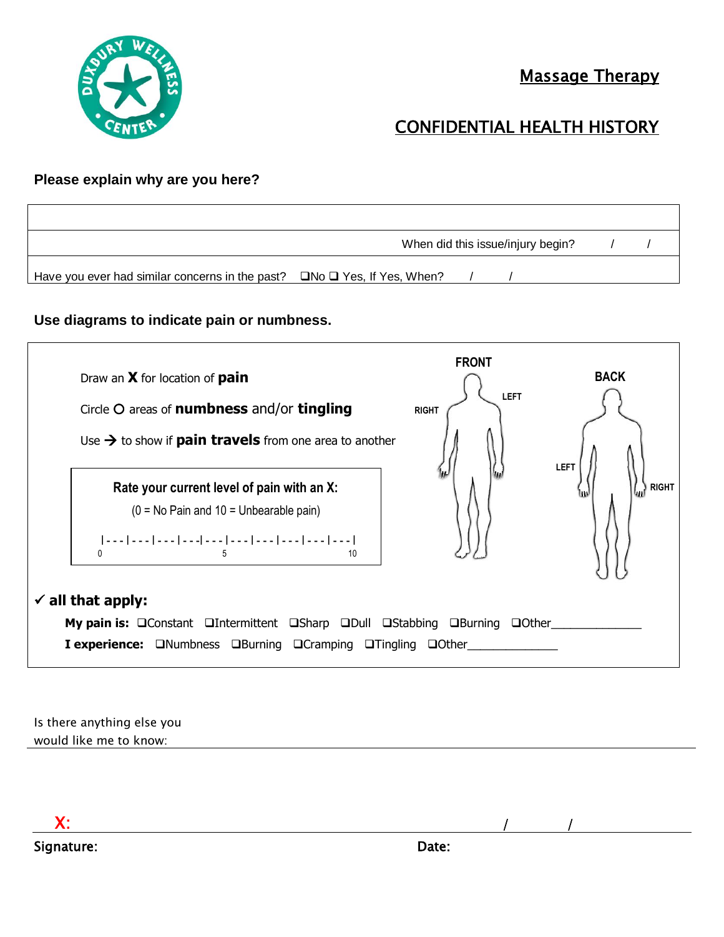

# CONFIDENTIAL HEALTH HISTORY

#### **Please explain why are you here?**

|                                                 | When did this issue/injury begin?   |  |  |  |  |
|-------------------------------------------------|-------------------------------------|--|--|--|--|
| Have you ever had similar concerns in the past? | $\Box$ No $\Box$ Yes, If Yes, When? |  |  |  |  |

#### **Use diagrams to indicate pain or numbness.**



Is there anything else you would like me to know:

 X: / / Signature: Date: Date: Date: Date: Date: Date: Date: Date: Date: Date: Date: Date: Date: Date: Date: Date: Date: Date: Date: Date: Date: Date: Date: Date: Date: Date: Date: Date: Date: Date: Date: Date: Date: Date: Date: D